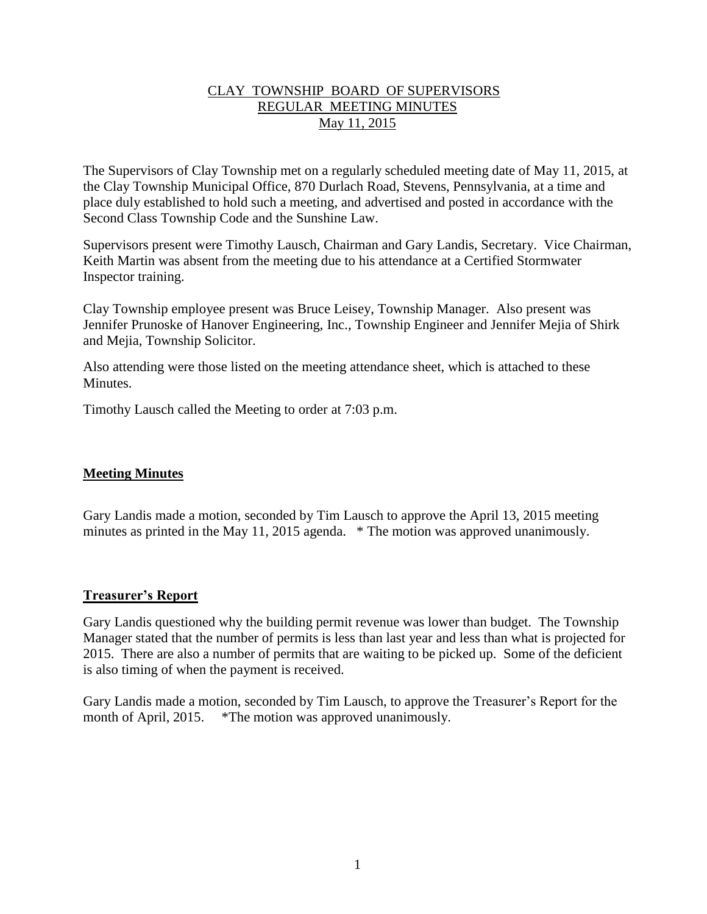# CLAY TOWNSHIP BOARD OF SUPERVISORS REGULAR MEETING MINUTES May 11, 2015

The Supervisors of Clay Township met on a regularly scheduled meeting date of May 11, 2015, at the Clay Township Municipal Office, 870 Durlach Road, Stevens, Pennsylvania, at a time and place duly established to hold such a meeting, and advertised and posted in accordance with the Second Class Township Code and the Sunshine Law.

Supervisors present were Timothy Lausch, Chairman and Gary Landis, Secretary. Vice Chairman, Keith Martin was absent from the meeting due to his attendance at a Certified Stormwater Inspector training.

Clay Township employee present was Bruce Leisey, Township Manager. Also present was Jennifer Prunoske of Hanover Engineering, Inc., Township Engineer and Jennifer Mejia of Shirk and Mejia, Township Solicitor.

Also attending were those listed on the meeting attendance sheet, which is attached to these Minutes.

Timothy Lausch called the Meeting to order at 7:03 p.m.

# **Meeting Minutes**

Gary Landis made a motion, seconded by Tim Lausch to approve the April 13, 2015 meeting minutes as printed in the May 11, 2015 agenda. \* The motion was approved unanimously.

## **Treasurer's Report**

Gary Landis questioned why the building permit revenue was lower than budget. The Township Manager stated that the number of permits is less than last year and less than what is projected for 2015. There are also a number of permits that are waiting to be picked up. Some of the deficient is also timing of when the payment is received.

Gary Landis made a motion, seconded by Tim Lausch, to approve the Treasurer's Report for the month of April, 2015. \*The motion was approved unanimously.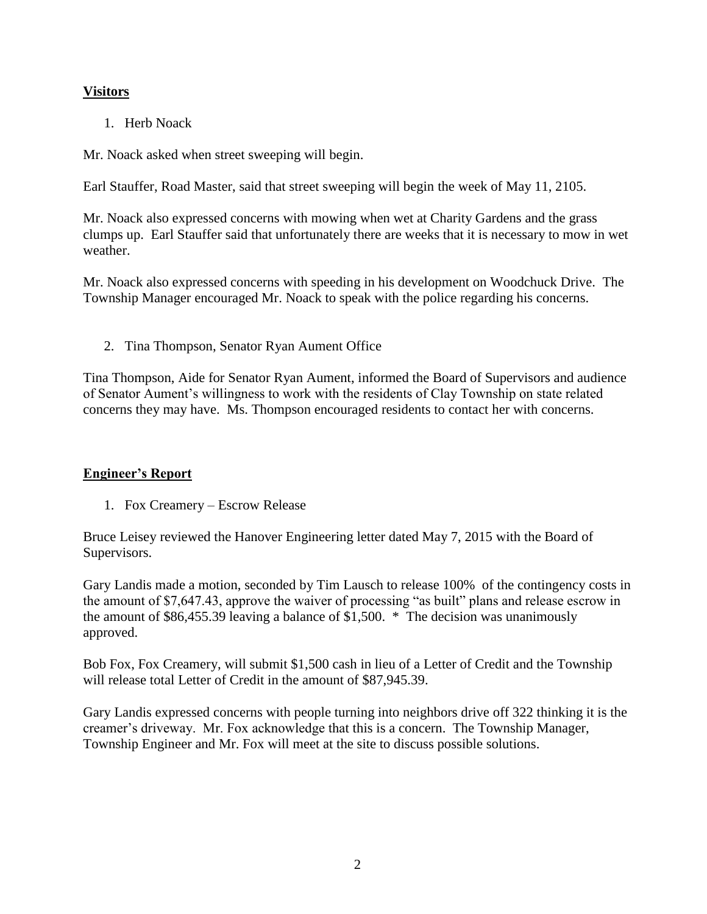# **Visitors**

1. Herb Noack

Mr. Noack asked when street sweeping will begin.

Earl Stauffer, Road Master, said that street sweeping will begin the week of May 11, 2105.

Mr. Noack also expressed concerns with mowing when wet at Charity Gardens and the grass clumps up. Earl Stauffer said that unfortunately there are weeks that it is necessary to mow in wet weather.

Mr. Noack also expressed concerns with speeding in his development on Woodchuck Drive. The Township Manager encouraged Mr. Noack to speak with the police regarding his concerns.

2. Tina Thompson, Senator Ryan Aument Office

Tina Thompson, Aide for Senator Ryan Aument, informed the Board of Supervisors and audience of Senator Aument's willingness to work with the residents of Clay Township on state related concerns they may have. Ms. Thompson encouraged residents to contact her with concerns.

# **Engineer's Report**

1. Fox Creamery – Escrow Release

Bruce Leisey reviewed the Hanover Engineering letter dated May 7, 2015 with the Board of Supervisors.

Gary Landis made a motion, seconded by Tim Lausch to release 100% of the contingency costs in the amount of \$7,647.43, approve the waiver of processing "as built" plans and release escrow in the amount of \$86,455.39 leaving a balance of \$1,500. \* The decision was unanimously approved.

Bob Fox, Fox Creamery, will submit \$1,500 cash in lieu of a Letter of Credit and the Township will release total Letter of Credit in the amount of \$87,945.39.

Gary Landis expressed concerns with people turning into neighbors drive off 322 thinking it is the creamer's driveway. Mr. Fox acknowledge that this is a concern. The Township Manager, Township Engineer and Mr. Fox will meet at the site to discuss possible solutions.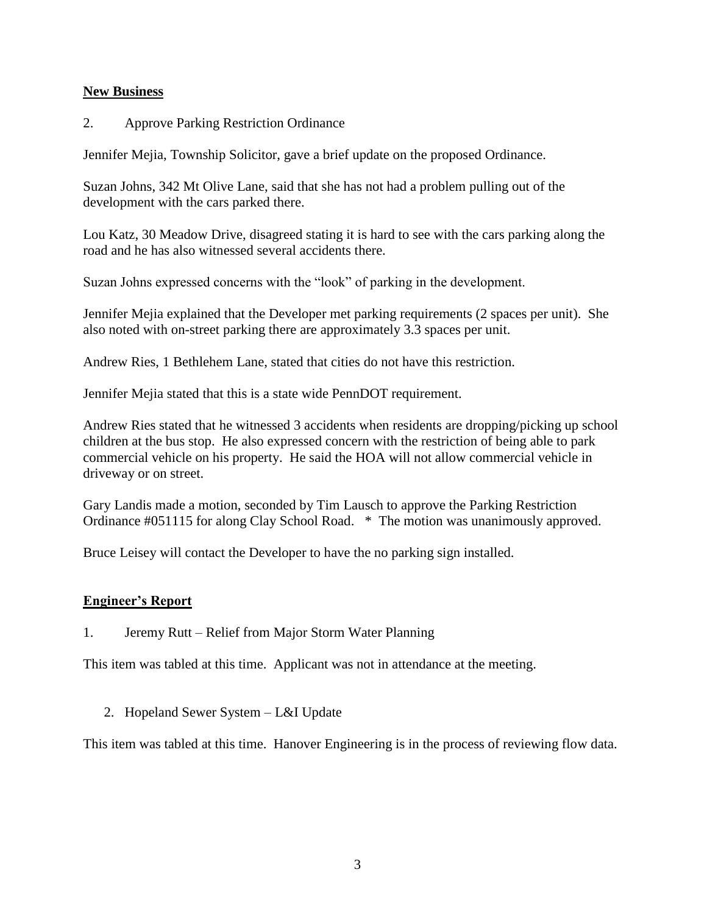## **New Business**

2. Approve Parking Restriction Ordinance

Jennifer Mejia, Township Solicitor, gave a brief update on the proposed Ordinance.

Suzan Johns, 342 Mt Olive Lane, said that she has not had a problem pulling out of the development with the cars parked there.

Lou Katz, 30 Meadow Drive, disagreed stating it is hard to see with the cars parking along the road and he has also witnessed several accidents there.

Suzan Johns expressed concerns with the "look" of parking in the development.

Jennifer Mejia explained that the Developer met parking requirements (2 spaces per unit). She also noted with on-street parking there are approximately 3.3 spaces per unit.

Andrew Ries, 1 Bethlehem Lane, stated that cities do not have this restriction.

Jennifer Mejia stated that this is a state wide PennDOT requirement.

Andrew Ries stated that he witnessed 3 accidents when residents are dropping/picking up school children at the bus stop. He also expressed concern with the restriction of being able to park commercial vehicle on his property. He said the HOA will not allow commercial vehicle in driveway or on street.

Gary Landis made a motion, seconded by Tim Lausch to approve the Parking Restriction Ordinance #051115 for along Clay School Road. \* The motion was unanimously approved.

Bruce Leisey will contact the Developer to have the no parking sign installed.

## **Engineer's Report**

1. Jeremy Rutt – Relief from Major Storm Water Planning

This item was tabled at this time. Applicant was not in attendance at the meeting.

2. Hopeland Sewer System – L&I Update

This item was tabled at this time. Hanover Engineering is in the process of reviewing flow data.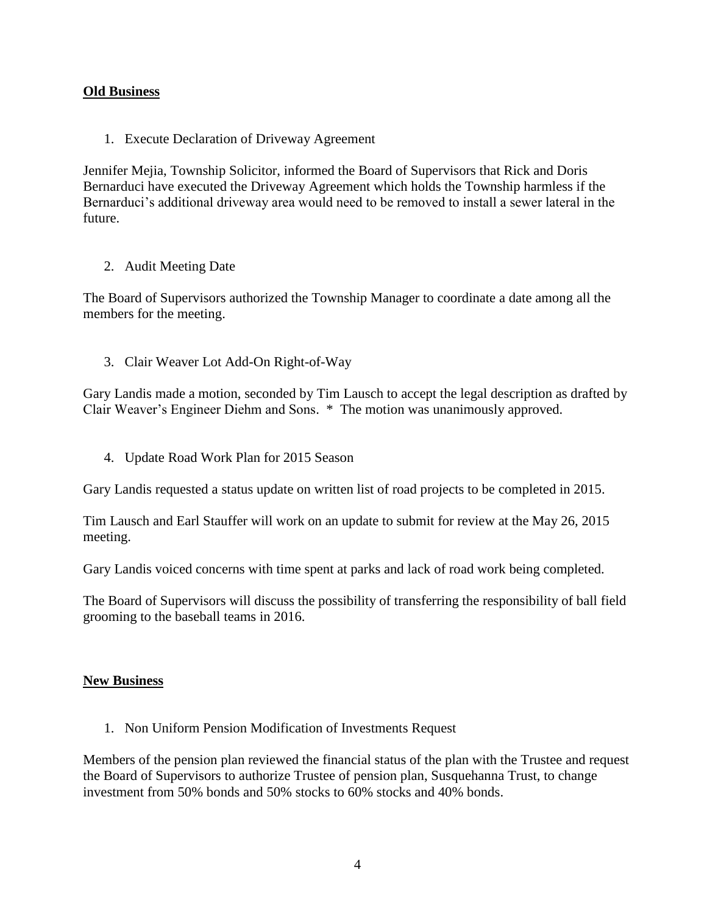## **Old Business**

1. Execute Declaration of Driveway Agreement

Jennifer Mejia, Township Solicitor, informed the Board of Supervisors that Rick and Doris Bernarduci have executed the Driveway Agreement which holds the Township harmless if the Bernarduci's additional driveway area would need to be removed to install a sewer lateral in the future.

## 2. Audit Meeting Date

The Board of Supervisors authorized the Township Manager to coordinate a date among all the members for the meeting.

3. Clair Weaver Lot Add-On Right-of-Way

Gary Landis made a motion, seconded by Tim Lausch to accept the legal description as drafted by Clair Weaver's Engineer Diehm and Sons. \* The motion was unanimously approved.

4. Update Road Work Plan for 2015 Season

Gary Landis requested a status update on written list of road projects to be completed in 2015.

Tim Lausch and Earl Stauffer will work on an update to submit for review at the May 26, 2015 meeting.

Gary Landis voiced concerns with time spent at parks and lack of road work being completed.

The Board of Supervisors will discuss the possibility of transferring the responsibility of ball field grooming to the baseball teams in 2016.

## **New Business**

1. Non Uniform Pension Modification of Investments Request

Members of the pension plan reviewed the financial status of the plan with the Trustee and request the Board of Supervisors to authorize Trustee of pension plan, Susquehanna Trust, to change investment from 50% bonds and 50% stocks to 60% stocks and 40% bonds.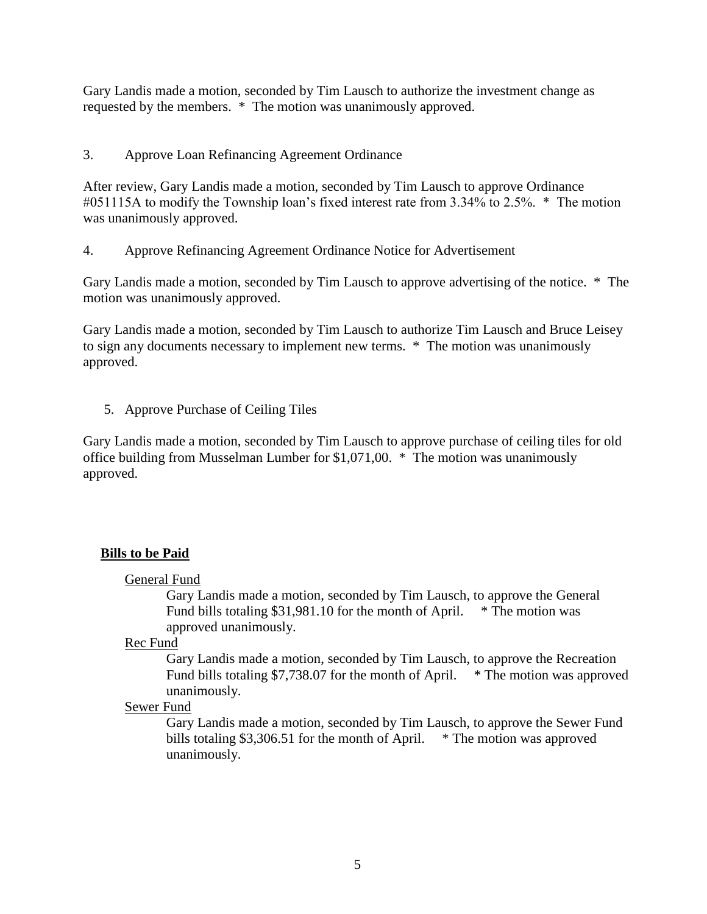Gary Landis made a motion, seconded by Tim Lausch to authorize the investment change as requested by the members. \* The motion was unanimously approved.

3. Approve Loan Refinancing Agreement Ordinance

After review, Gary Landis made a motion, seconded by Tim Lausch to approve Ordinance #051115A to modify the Township loan's fixed interest rate from 3.34% to 2.5%. \* The motion was unanimously approved.

4. Approve Refinancing Agreement Ordinance Notice for Advertisement

Gary Landis made a motion, seconded by Tim Lausch to approve advertising of the notice. \* The motion was unanimously approved.

Gary Landis made a motion, seconded by Tim Lausch to authorize Tim Lausch and Bruce Leisey to sign any documents necessary to implement new terms. \* The motion was unanimously approved.

5. Approve Purchase of Ceiling Tiles

Gary Landis made a motion, seconded by Tim Lausch to approve purchase of ceiling tiles for old office building from Musselman Lumber for \$1,071,00. \* The motion was unanimously approved.

# **Bills to be Paid**

General Fund

Gary Landis made a motion, seconded by Tim Lausch, to approve the General Fund bills totaling  $$31,981.10$  for the month of April.  $*$  The motion was approved unanimously.

Rec Fund

Gary Landis made a motion, seconded by Tim Lausch, to approve the Recreation Fund bills totaling \$7,738.07 for the month of April. \* The motion was approved unanimously.

## Sewer Fund

Gary Landis made a motion, seconded by Tim Lausch, to approve the Sewer Fund bills totaling \$3,306.51 for the month of April. \* The motion was approved unanimously.